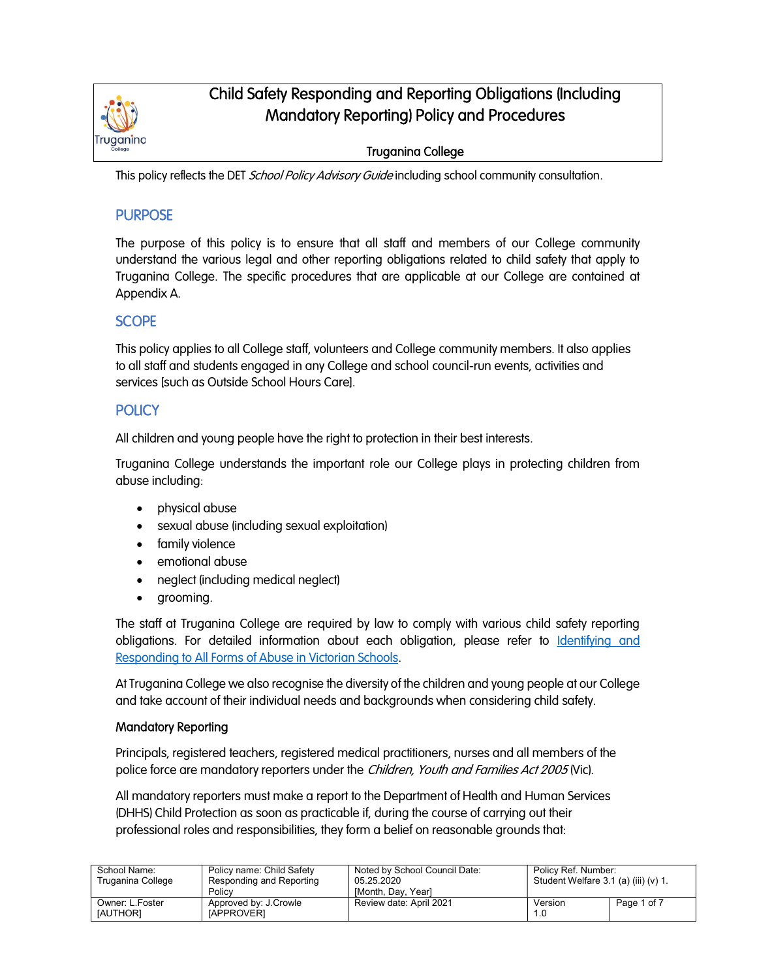

# Child Safety Responding and Reporting Obligations (Including Mandatory Reporting) Policy and Procedures

## Truganina College

This policy reflects the DET School Policy Advisory Guide including school community consultation.

## **PURPOSE**

The purpose of this policy is to ensure that all staff and members of our College community understand the various legal and other reporting obligations related to child safety that apply to Truganina College. The specific procedures that are applicable at our College are contained at Appendix A.

## **SCOPE**

This policy applies to all College staff, volunteers and College community members. It also applies to all staff and students engaged in any College and school council-run events, activities and services [such as Outside School Hours Care].

## **POLICY**

All children and young people have the right to protection in their best interests.

Truganina College understands the important role our College plays in protecting children from abuse including:

- physical abuse
- sexual abuse (including sexual exploitation)
- family violence
- emotional abuse
- neglect (including medical neglect)
- grooming.

The staff at Truganina College are required by law to comply with various child safety reporting obligations. For detailed information about each obligation, please refer to Identifying and Responding to All Forms of Abuse in Victorian Schools.

At Truganina College we also recognise the diversity of the children and young people at our College and take account of their individual needs and backgrounds when considering child safety.

### Mandatory Reporting

Principals, registered teachers, registered medical practitioners, nurses and all members of the police force are mandatory reporters under the *Children, Youth and Families Act 2005* (Vic).

All mandatory reporters must make a report to the Department of Health and Human Services (DHHS) Child Protection as soon as practicable if, during the course of carrying out their professional roles and responsibilities, they form a belief on reasonable grounds that:

| School Name:<br>Truganina College  | Policy name: Child Safety<br>Responding and Reporting<br>Policy | Noted by School Council Date:<br>05.25.2020<br>[Month, Day, Year] | Policy Ref. Number:<br>Student Welfare $3.1$ (a) (iii) (v) $1.$ |             |
|------------------------------------|-----------------------------------------------------------------|-------------------------------------------------------------------|-----------------------------------------------------------------|-------------|
| Owner: L.Foster<br><b>IAUTHORI</b> | Approved by: J.Crowle<br><b>IAPPROVERI</b>                      | Review date: April 2021                                           | Version<br>1.0                                                  | Page 1 of 7 |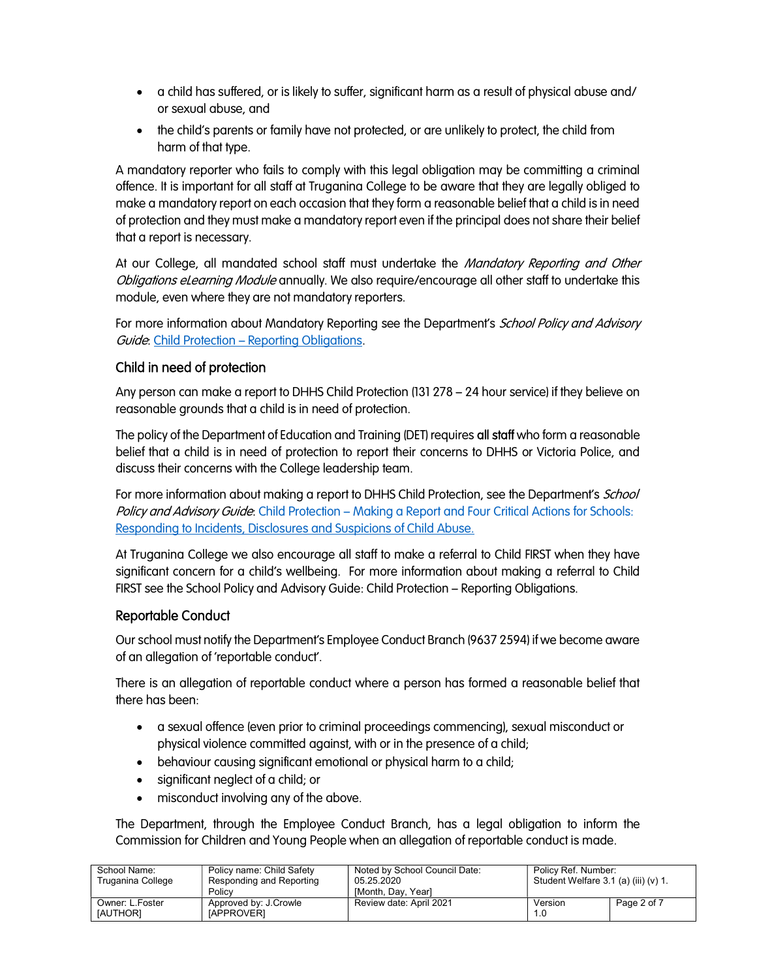- a child has suffered, or is likely to suffer, significant harm as a result of physical abuse and/ or sexual abuse, and
- the child's parents or family have not protected, or are unlikely to protect, the child from harm of that type.

A mandatory reporter who fails to comply with this legal obligation may be committing a criminal offence. It is important for all staff at Truganina College to be aware that they are legally obliged to make a mandatory report on each occasion that they form a reasonable belief that a child is in need of protection and they must make a mandatory report even if the principal does not share their belief that a report is necessary.

At our College, all mandated school staff must undertake the *Mandatory Reporting and Other* Obligations eLearning Module annually. We also require/encourage all other staff to undertake this module, even where they are not mandatory reporters.

For more information about Mandatory Reporting see the Department's School Policy and Advisory Guide: Child Protection – Reporting Obligations.

## Child in need of protection

Any person can make a report to DHHS Child Protection (131 278 – 24 hour service) if they believe on reasonable grounds that a child is in need of protection.

The policy of the Department of Education and Training (DET) requires all staff who form a reasonable belief that a child is in need of protection to report their concerns to DHHS or Victoria Police, and discuss their concerns with the College leadership team.

For more information about making a report to DHHS Child Protection, see the Department's School Policy and Advisory Guide: Child Protection – Making a Report and Four Critical Actions for Schools: Responding to Incidents, Disclosures and Suspicions of Child Abuse.

At Truganina College we also encourage all staff to make a referral to Child FIRST when they have significant concern for a child's wellbeing. For more information about making a referral to Child FIRST see the School Policy and Advisory Guide: Child Protection – Reporting Obligations.

### Reportable Conduct

Our school must notify the Department's Employee Conduct Branch (9637 2594) if we become aware of an allegation of 'reportable conduct'.

There is an allegation of reportable conduct where a person has formed a reasonable belief that there has been:

- a sexual offence (even prior to criminal proceedings commencing), sexual misconduct or physical violence committed against, with or in the presence of a child;
- behaviour causing significant emotional or physical harm to a child;
- significant neglect of a child; or
- misconduct involving any of the above.

The Department, through the Employee Conduct Branch, has a legal obligation to inform the Commission for Children and Young People when an allegation of reportable conduct is made.

| School Name:<br>Truganina College | Policy name: Child Safety<br>Responding and Reporting<br>Policy | Noted by School Council Date:<br>05.25.2020<br><b>IMonth, Dav, Yearl</b> | Policy Ref. Number:<br>Student Welfare $3.1$ (a) (iii) (v) $1.$ |             |
|-----------------------------------|-----------------------------------------------------------------|--------------------------------------------------------------------------|-----------------------------------------------------------------|-------------|
| Owner: L.Foster<br>[AUTHOR]       | Approved by: J.Crowle<br><b>IAPPROVERI</b>                      | Review date: April 2021                                                  | Version<br>1.0                                                  | Page 2 of 7 |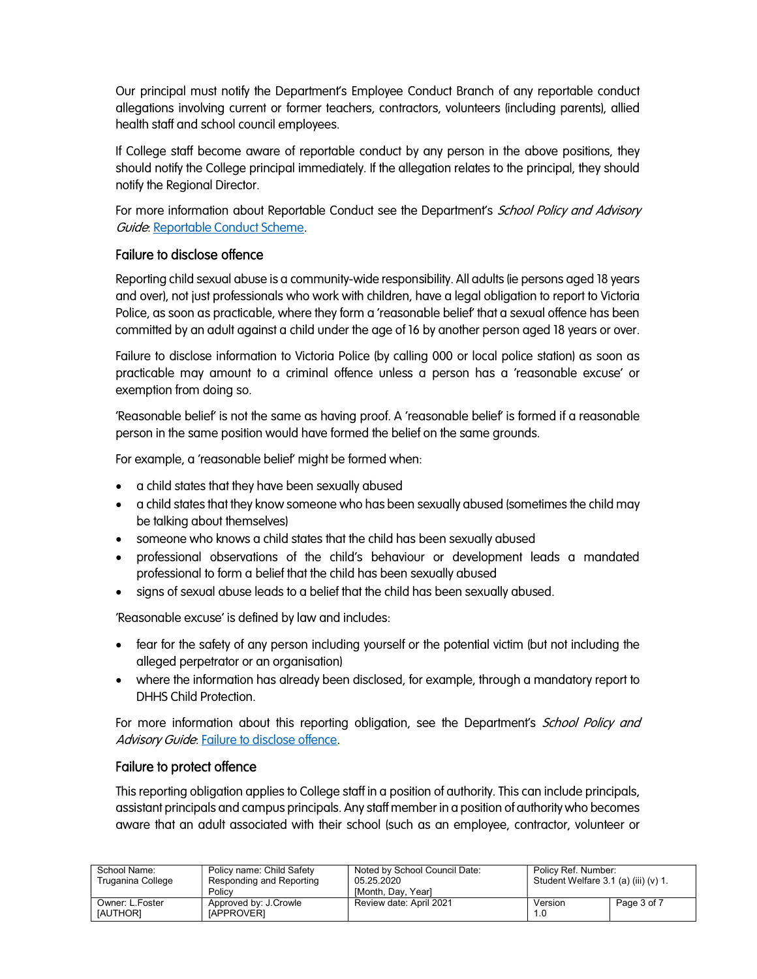Our principal must notify the Department's Employee Conduct Branch of any reportable conduct allegations involving current or former teachers, contractors, volunteers (including parents), allied health staff and school council employees.

If College staff become aware of reportable conduct by any person in the above positions, they should notify the College principal immediately. If the allegation relates to the principal, they should notify the Regional Director.

For more information about Reportable Conduct see the Department's School Policy and Advisory Guide: Reportable Conduct Scheme.

## Failure to disclose offence

Reporting child sexual abuse is a community-wide responsibility. All adults (ie persons aged 18 years and over), not just professionals who work with children, have a legal obligation to report to Victoria Police, as soon as practicable, where they form a 'reasonable belief' that a sexual offence has been committed by an adult against a child under the age of 16 by another person aged 18 years or over.

Failure to disclose information to Victoria Police (by calling 000 or local police station) as soon as practicable may amount to a criminal offence unless a person has a 'reasonable excuse' or exemption from doing so.

'Reasonable belief' is not the same as having proof. A 'reasonable belief' is formed if a reasonable person in the same position would have formed the belief on the same grounds.

For example, a 'reasonable belief' might be formed when:

- a child states that they have been sexually abused
- a child states that they know someone who has been sexually abused (sometimes the child may be talking about themselves)
- someone who knows a child states that the child has been sexually abused
- professional observations of the child's behaviour or development leads a mandated professional to form a belief that the child has been sexually abused
- signs of sexual abuse leads to a belief that the child has been sexually abused.

'Reasonable excuse' is defined by law and includes:

- fear for the safety of any person including yourself or the potential victim (but not including the alleged perpetrator or an organisation)
- where the information has already been disclosed, for example, through a mandatory report to DHHS Child Protection.

For more information about this reporting obligation, see the Department's *School Policy and* Advisory Guide: Failure to disclose offence.

### Failure to protect offence

This reporting obligation applies to College staff in a position of authority. This can include principals, assistant principals and campus principals. Any staff member in a position of authority who becomes aware that an adult associated with their school (such as an employee, contractor, volunteer or

| School Name:<br>Truganina College  | Policy name: Child Safety<br>Responding and Reporting<br>Policy | Noted by School Council Date:<br>05.25.2020<br>[Month, Day, Year] | Policy Ref. Number:<br>Student Welfare 3.1 (a) (iii) (v) 1. |             |
|------------------------------------|-----------------------------------------------------------------|-------------------------------------------------------------------|-------------------------------------------------------------|-------------|
| Owner: L.Foster<br><b>IAUTHORI</b> | Approved by: J.Crowle<br><b>IAPPROVERI</b>                      | Review date: April 2021                                           | Version<br>1.0                                              | Page 3 of 7 |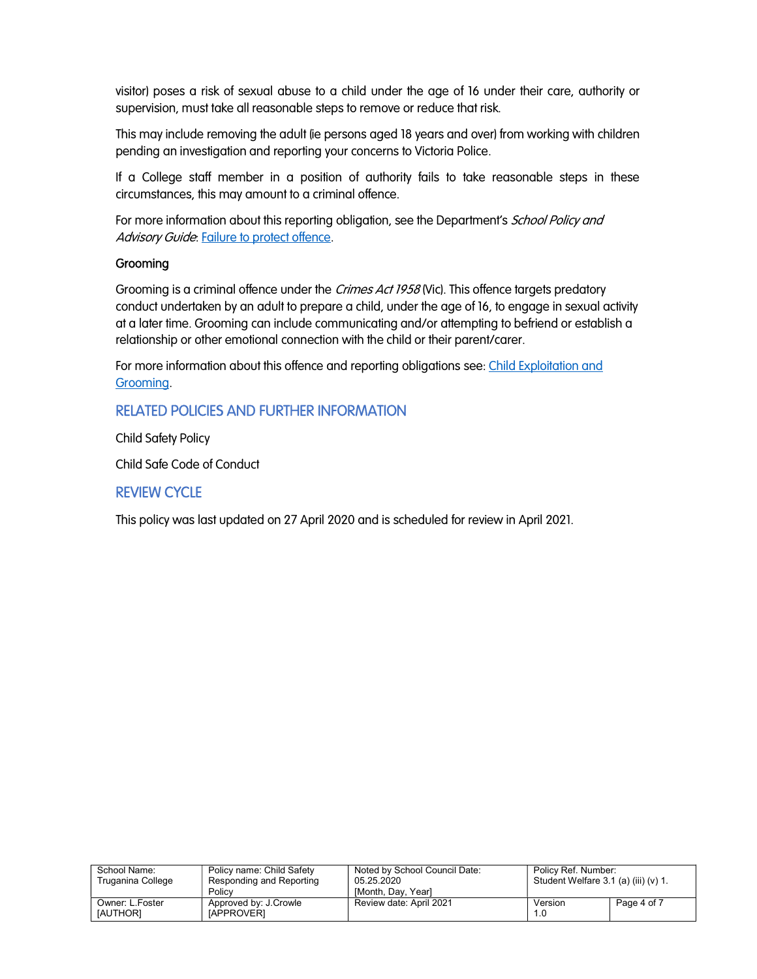visitor) poses a risk of sexual abuse to a child under the age of 16 under their care, authority or supervision, must take all reasonable steps to remove or reduce that risk.

This may include removing the adult (ie persons aged 18 years and over) from working with children pending an investigation and reporting your concerns to Victoria Police.

If a College staff member in a position of authority fails to take reasonable steps in these circumstances, this may amount to a criminal offence.

For more information about this reporting obligation, see the Department's School Policy and Advisory Guide: Failure to protect offence.

### **Grooming**

Grooming is a criminal offence under the *Crimes Act 1958* (Vic). This offence targets predatory conduct undertaken by an adult to prepare a child, under the age of 16, to engage in sexual activity at a later time. Grooming can include communicating and/or attempting to befriend or establish a relationship or other emotional connection with the child or their parent/carer.

For more information about this offence and reporting obligations see: Child Exploitation and Grooming.

## RELATED POLICIES AND FURTHER INFORMATION

Child Safety Policy

Child Safe Code of Conduct

### REVIEW CYCLE

This policy was last updated on 27 April 2020 and is scheduled for review in April 2021.

| School Name:<br>Truganina College | Policy name: Child Safety<br>Responding and Reporting<br>Policy | Noted by School Council Date:<br>05.25.2020 | Policy Ref. Number:<br>Student Welfare 3.1 (a) (iii) (v) 1. |             |
|-----------------------------------|-----------------------------------------------------------------|---------------------------------------------|-------------------------------------------------------------|-------------|
| Owner: L.Foster                   | Approved by: J.Crowle                                           | <b>IMonth, Dav, Yearl</b>                   | Version                                                     | Page 4 of 7 |
| [AUTHOR]                          | [APPROVER]                                                      | Review date: April 2021                     | 1.0                                                         |             |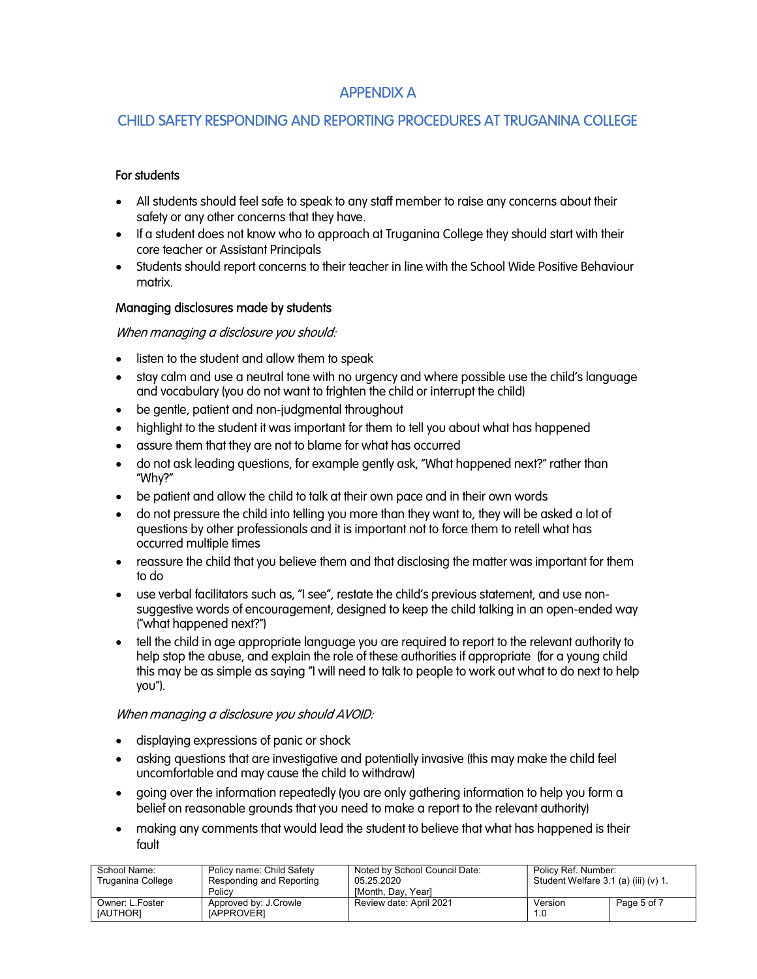## APPENDIX A

## CHILD SAFETY RESPONDING AND REPORTING PROCEDURES AT TRUGANINA COLLEGE

### For students

- All students should feel safe to speak to any staff member to raise any concerns about their safety or any other concerns that they have.
- If a student does not know who to approach at Truganina College they should start with their core teacher or Assistant Principals
- Students should report concerns to their teacher in line with the School Wide Positive Behaviour matrix.

### Managing disclosures made by students

### When managing a disclosure you should:

- listen to the student and allow them to speak
- stay calm and use a neutral tone with no urgency and where possible use the child's language and vocabulary (you do not want to frighten the child or interrupt the child)
- be gentle, patient and non-judgmental throughout
- highlight to the student it was important for them to tell you about what has happened
- assure them that they are not to blame for what has occurred
- do not ask leading questions, for example gently ask, "What happened next?" rather than "Why?"
- be patient and allow the child to talk at their own pace and in their own words
- do not pressure the child into telling you more than they want to, they will be asked a lot of questions by other professionals and it is important not to force them to retell what has occurred multiple times
- reassure the child that you believe them and that disclosing the matter was important for them to do
- use verbal facilitators such as, "I see", restate the child's previous statement, and use nonsuggestive words of encouragement, designed to keep the child talking in an open-ended way ("what happened next?")
- tell the child in age appropriate language you are required to report to the relevant authority to help stop the abuse, and explain the role of these authorities if appropriate (for a young child this may be as simple as saying "I will need to talk to people to work out what to do next to help you").

### When managing a disclosure you should AVOID:

- displaying expressions of panic or shock
- asking questions that are investigative and potentially invasive (this may make the child feel uncomfortable and may cause the child to withdraw)
- going over the information repeatedly (you are only gathering information to help you form a belief on reasonable grounds that you need to make a report to the relevant authority)
- making any comments that would lead the student to believe that what has happened is their fault

| School Name:<br>Truganina College | Policy name: Child Safety<br>Responding and Reporting<br>Policy | Noted by School Council Date:<br>05.25.2020<br><b>IMonth, Dav, Yearl</b> | Policy Ref. Number:<br>Student Welfare $3.1$ (a) (iii) (v) $1.$ |             |
|-----------------------------------|-----------------------------------------------------------------|--------------------------------------------------------------------------|-----------------------------------------------------------------|-------------|
| Owner: L.Foster<br>[AUTHOR]       | Approved by: J.Crowle<br>[APPROVER]                             | Review date: April 2021                                                  | Version<br>1.0                                                  | Page 5 of 7 |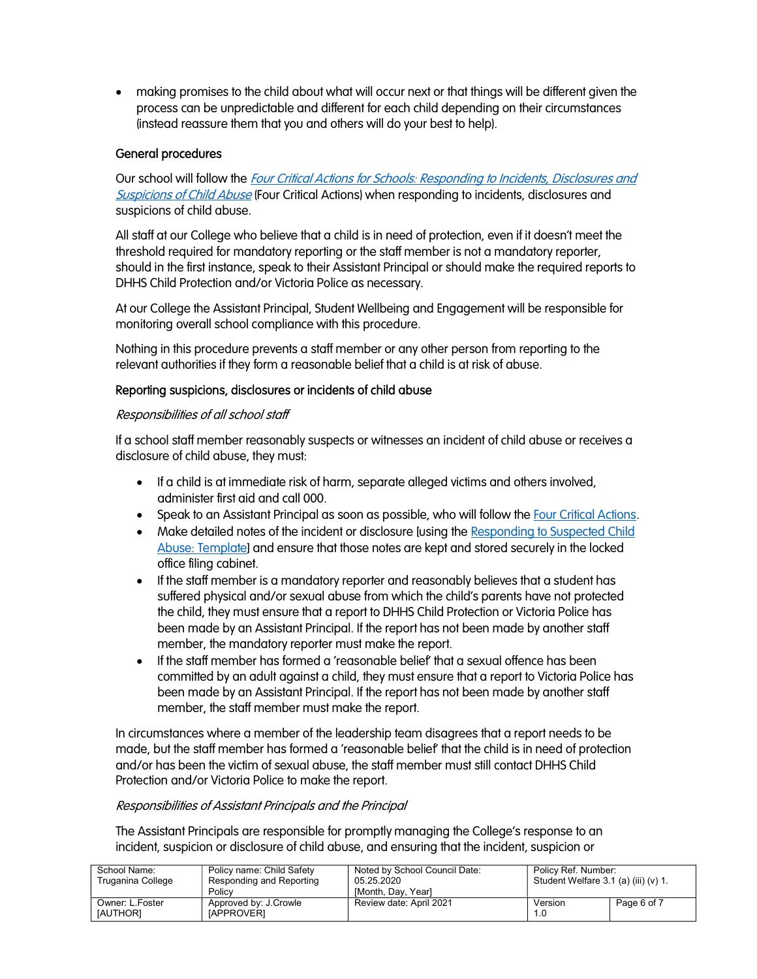making promises to the child about what will occur next or that things will be different given the process can be unpredictable and different for each child depending on their circumstances (instead reassure them that you and others will do your best to help).

### General procedures

Our school will follow the *Four Critical Actions for Schools: Responding to Incidents, Disclosures and* **Suspicions of Child Abuse (Four Critical Actions) when responding to incidents, disclosures and** suspicions of child abuse.

All staff at our College who believe that a child is in need of protection, even if it doesn't meet the threshold required for mandatory reporting or the staff member is not a mandatory reporter, should in the first instance, speak to their Assistant Principal or should make the required reports to DHHS Child Protection and/or Victoria Police as necessary.

At our College the Assistant Principal, Student Wellbeing and Engagement will be responsible for monitoring overall school compliance with this procedure.

Nothing in this procedure prevents a staff member or any other person from reporting to the relevant authorities if they form a reasonable belief that a child is at risk of abuse.

### Reporting suspicions, disclosures or incidents of child abuse

#### Responsibilities of all school staff

If a school staff member reasonably suspects or witnesses an incident of child abuse or receives a disclosure of child abuse, they must:

- If a child is at immediate risk of harm, separate alleged victims and others involved, administer first aid and call 000.
- Speak to an Assistant Principal as soon as possible, who will follow the Four Critical Actions.
- Make detailed notes of the incident or disclosure [using the Responding to Suspected Child Abuse: Template] and ensure that those notes are kept and stored securely in the locked office filing cabinet.
- If the staff member is a mandatory reporter and reasonably believes that a student has suffered physical and/or sexual abuse from which the child's parents have not protected the child, they must ensure that a report to DHHS Child Protection or Victoria Police has been made by an Assistant Principal. If the report has not been made by another staff member, the mandatory reporter must make the report.
- If the staff member has formed a 'reasonable belief' that a sexual offence has been committed by an adult against a child, they must ensure that a report to Victoria Police has been made by an Assistant Principal. If the report has not been made by another staff member, the staff member must make the report.

In circumstances where a member of the leadership team disagrees that a report needs to be made, but the staff member has formed a 'reasonable belief' that the child is in need of protection and/or has been the victim of sexual abuse, the staff member must still contact DHHS Child Protection and/or Victoria Police to make the report.

### Responsibilities of Assistant Principals and the Principal

The Assistant Principals are responsible for promptly managing the College's response to an incident, suspicion or disclosure of child abuse, and ensuring that the incident, suspicion or

| School Name:<br>Truganina College  | Policy name: Child Safety<br>Responding and Reporting<br>Policy | Noted by School Council Date:<br>05.25.2020<br><b>IMonth, Dav, Yearl</b> | Policy Ref. Number:<br>Student Welfare $3.1$ (a) (iii) (v) $1.$ |             |
|------------------------------------|-----------------------------------------------------------------|--------------------------------------------------------------------------|-----------------------------------------------------------------|-------------|
| Owner: L.Foster<br><b>IAUTHORI</b> | Approved by: J.Crowle<br><b>IAPPROVERI</b>                      | Review date: April 2021                                                  | Version<br>1.0                                                  | Page 6 of 7 |